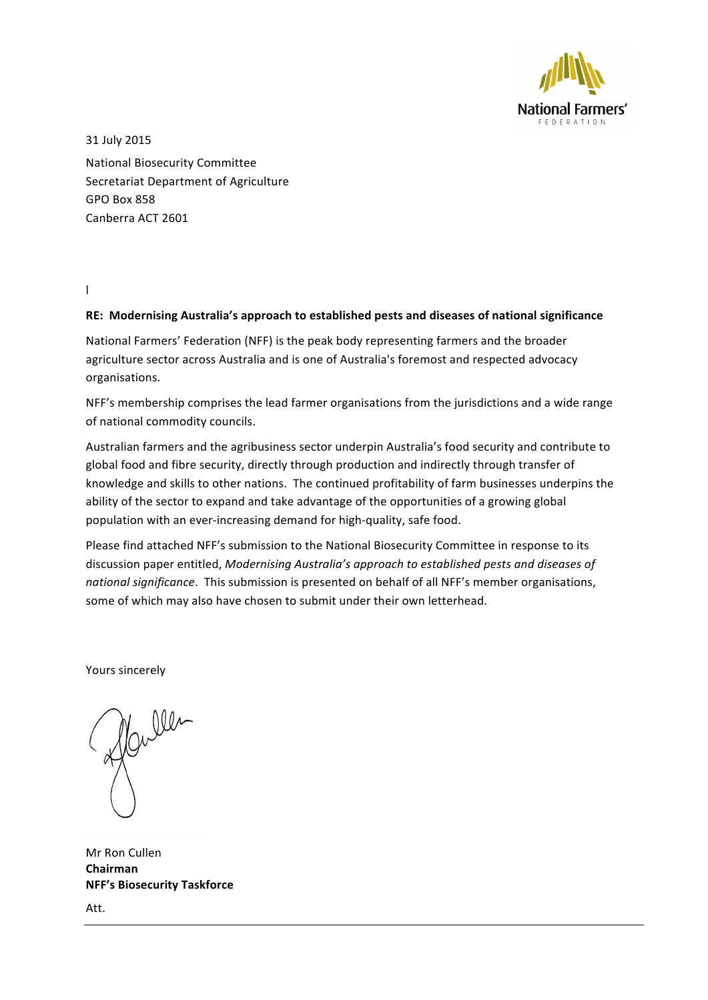

31 July 2015 National Biosecurity Committee Secretariat Department of Agriculture GPO Box 858 Canberra ACT 2601 

l 

#### RE: Modernising Australia's approach to established pests and diseases of national significance

National Farmers' Federation (NFF) is the peak body representing farmers and the broader agriculture sector across Australia and is one of Australia's foremost and respected advocacy organisations. 

NFF's membership comprises the lead farmer organisations from the jurisdictions and a wide range of national commodity councils.

Australian farmers and the agribusiness sector underpin Australia's food security and contribute to global food and fibre security, directly through production and indirectly through transfer of knowledge and skills to other nations. The continued profitability of farm businesses underpins the ability of the sector to expand and take advantage of the opportunities of a growing global population with an ever-increasing demand for high-quality, safe food.

Please find attached NFF's submission to the National Biosecurity Committee in response to its discussion paper entitled, *Modernising Australia's approach to established pests and diseases of national significance*. This submission is presented on behalf of all NFF's member organisations, some of which may also have chosen to submit under their own letterhead.

Yours sincerely

Mr Ron Cullen **Chairman NFF's Biosecurity Taskforce** Att.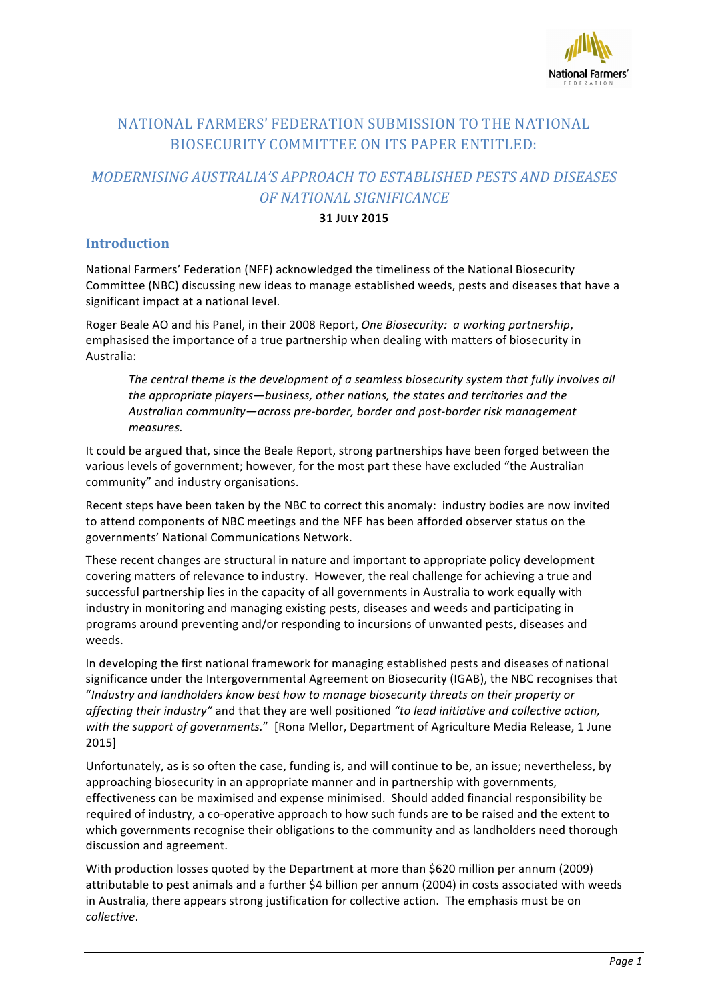

## NATIONAL FARMERS' FEDERATION SUBMISSION TO THE NATIONAL BIOSECURITY COMMITTEE ON ITS PAPER ENTITLED:

# *MODERNISING AUSTRALIA'S APPROACH TO ESTABLISHED PESTS AND DISEASES OF NATIONAL SIGNIFICANCE*

#### **31 JULY 2015**

## **Introduction**

National Farmers' Federation (NFF) acknowledged the timeliness of the National Biosecurity Committee (NBC) discussing new ideas to manage established weeds, pests and diseases that have a significant impact at a national level.

Roger Beale AO and his Panel, in their 2008 Report, One Biosecurity: a working partnership, emphasised the importance of a true partnership when dealing with matters of biosecurity in Australia:

The central theme is the development of a seamless biosecurity system that fully involves all the appropriate players—business, other nations, the states and territories and the Australian community—across pre-border, border and post-border risk management *measures.*

It could be argued that, since the Beale Report, strong partnerships have been forged between the various levels of government; however, for the most part these have excluded "the Australian community" and industry organisations.

Recent steps have been taken by the NBC to correct this anomaly: industry bodies are now invited to attend components of NBC meetings and the NFF has been afforded observer status on the governments' National Communications Network.

These recent changes are structural in nature and important to appropriate policy development covering matters of relevance to industry. However, the real challenge for achieving a true and successful partnership lies in the capacity of all governments in Australia to work equally with industry in monitoring and managing existing pests, diseases and weeds and participating in programs around preventing and/or responding to incursions of unwanted pests, diseases and weeds.

In developing the first national framework for managing established pests and diseases of national significance under the Intergovernmental Agreement on Biosecurity (IGAB), the NBC recognises that "Industry and landholders know best how to manage biosecurity threats on their property or affecting their industry" and that they are well positioned "to lead initiative and collective action, with the support of governments." [Rona Mellor, Department of Agriculture Media Release, 1 June 2015]

Unfortunately, as is so often the case, funding is, and will continue to be, an issue; nevertheless, by approaching biosecurity in an appropriate manner and in partnership with governments, effectiveness can be maximised and expense minimised. Should added financial responsibility be required of industry, a co-operative approach to how such funds are to be raised and the extent to which governments recognise their obligations to the community and as landholders need thorough discussion and agreement.

With production losses quoted by the Department at more than \$620 million per annum (2009) attributable to pest animals and a further \$4 billion per annum (2004) in costs associated with weeds in Australia, there appears strong justification for collective action. The emphasis must be on *collective*.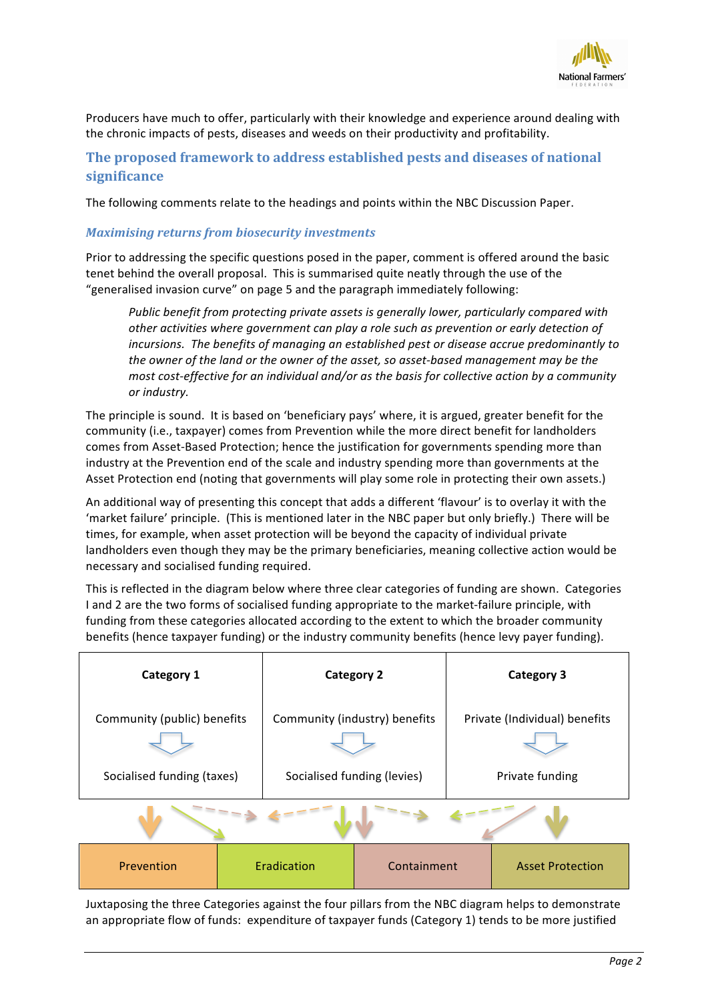

Producers have much to offer, particularly with their knowledge and experience around dealing with the chronic impacts of pests, diseases and weeds on their productivity and profitability.

## The proposed framework to address established pests and diseases of national **significance**

The following comments relate to the headings and points within the NBC Discussion Paper.

#### *Maximising returns from biosecurity investments*

Prior to addressing the specific questions posed in the paper, comment is offered around the basic tenet behind the overall proposal. This is summarised quite neatly through the use of the "generalised invasion curve" on page 5 and the paragraph immediately following:

*Public benefit from protecting private assets is generally lower, particularly compared with* other activities where government can play a role such as prevention or early detection of *incursions.* The benefits of managing an established pest or disease accrue predominantly to the owner of the land or the owner of the asset, so asset-based management may be the *most cost-effective for an individual and/or as the basis for collective action by a community*  $or$  *industry*.

The principle is sound. It is based on 'beneficiary pays' where, it is argued, greater benefit for the community (i.e., taxpayer) comes from Prevention while the more direct benefit for landholders comes from Asset-Based Protection; hence the justification for governments spending more than industry at the Prevention end of the scale and industry spending more than governments at the Asset Protection end (noting that governments will play some role in protecting their own assets.)

An additional way of presenting this concept that adds a different 'flavour' is to overlay it with the 'market failure' principle. (This is mentioned later in the NBC paper but only briefly.) There will be times, for example, when asset protection will be beyond the capacity of individual private landholders even though they may be the primary beneficiaries, meaning collective action would be necessary and socialised funding required.

This is reflected in the diagram below where three clear categories of funding are shown. Categories I and 2 are the two forms of socialised funding appropriate to the market-failure principle, with funding from these categories allocated according to the extent to which the broader community benefits (hence taxpayer funding) or the industry community benefits (hence levy payer funding).

| Category 1                                                |             | <b>Category 2</b>                                            |             | <b>Category 3</b>                                |                         |
|-----------------------------------------------------------|-------------|--------------------------------------------------------------|-------------|--------------------------------------------------|-------------------------|
| Community (public) benefits<br>Socialised funding (taxes) |             | Community (industry) benefits<br>Socialised funding (levies) |             | Private (Individual) benefits<br>Private funding |                         |
|                                                           |             |                                                              |             |                                                  |                         |
| Prevention                                                | Eradication |                                                              | Containment |                                                  | <b>Asset Protection</b> |

Juxtaposing the three Categories against the four pillars from the NBC diagram helps to demonstrate an appropriate flow of funds: expenditure of taxpayer funds (Category 1) tends to be more justified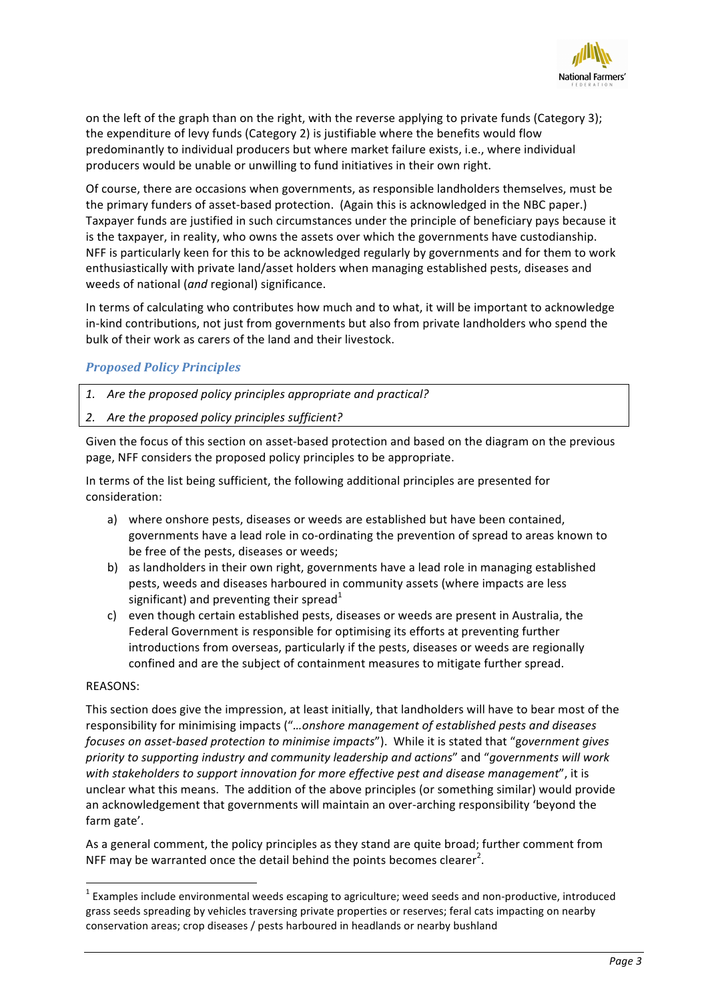

on the left of the graph than on the right, with the reverse applying to private funds (Category 3); the expenditure of levy funds (Category 2) is justifiable where the benefits would flow predominantly to individual producers but where market failure exists, i.e., where individual producers would be unable or unwilling to fund initiatives in their own right.

Of course, there are occasions when governments, as responsible landholders themselves, must be the primary funders of asset-based protection. (Again this is acknowledged in the NBC paper.) Taxpayer funds are justified in such circumstances under the principle of beneficiary pays because it is the taxpayer, in reality, who owns the assets over which the governments have custodianship. NFF is particularly keen for this to be acknowledged regularly by governments and for them to work enthusiastically with private land/asset holders when managing established pests, diseases and weeds of national (and regional) significance.

In terms of calculating who contributes how much and to what, it will be important to acknowledge in-kind contributions, not just from governments but also from private landholders who spend the bulk of their work as carers of the land and their livestock.

## *Proposed Policy Principles*

- 1. Are the proposed policy principles appropriate and practical?
- 2. Are the proposed policy principles sufficient?

Given the focus of this section on asset-based protection and based on the diagram on the previous page, NFF considers the proposed policy principles to be appropriate.

In terms of the list being sufficient, the following additional principles are presented for consideration:

- a) where onshore pests, diseases or weeds are established but have been contained. governments have a lead role in co-ordinating the prevention of spread to areas known to be free of the pests, diseases or weeds;
- b) as landholders in their own right, governments have a lead role in managing established pests, weeds and diseases harboured in community assets (where impacts are less significant) and preventing their spread<sup>1</sup>
- c) even though certain established pests, diseases or weeds are present in Australia, the Federal Government is responsible for optimising its efforts at preventing further introductions from overseas, particularly if the pests, diseases or weeds are regionally confined and are the subject of containment measures to mitigate further spread.

#### REASONS:

<u> 1989 - Jan Samuel Barbara, margaret e</u>

This section does give the impression, at least initially, that landholders will have to bear most of the responsibility for minimising impacts ("...onshore management of established pests and diseases *focuses on asset-based protection to minimise impacts"*). While it is stated that "government gives priority to supporting industry and community leadership and actions" and "governments will work with stakeholders to support innovation for more effective pest and disease management", it is unclear what this means. The addition of the above principles (or something similar) would provide an acknowledgement that governments will maintain an over-arching responsibility 'beyond the farm gate'.

As a general comment, the policy principles as they stand are quite broad; further comment from NFF may be warranted once the detail behind the points becomes clearer<sup>2</sup>.

 $1$  Examples include environmental weeds escaping to agriculture; weed seeds and non-productive, introduced grass seeds spreading by vehicles traversing private properties or reserves; feral cats impacting on nearby conservation areas; crop diseases / pests harboured in headlands or nearby bushland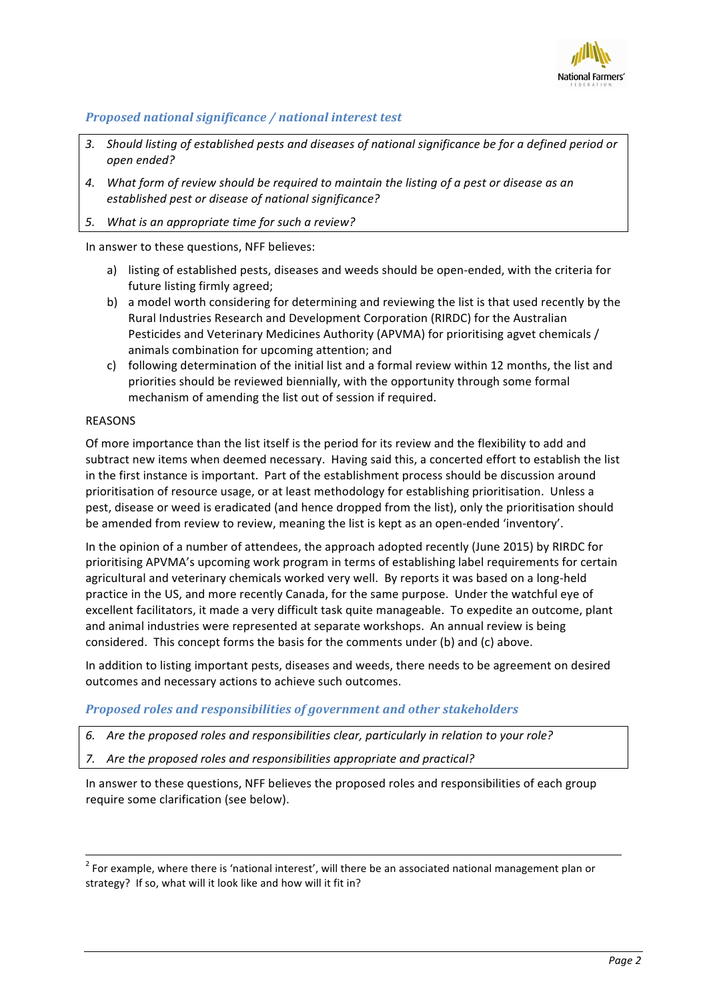

## *Proposed national significance* / national interest test

- 3. Should listing of established pests and diseases of national significance be for a defined period or *open ended?*
- 4. What form of review should be required to maintain the listing of a pest or disease as an established pest or disease of national significance?
- 5. What is an appropriate time for such a review?

In answer to these questions, NFF believes:

- a) listing of established pests, diseases and weeds should be open-ended, with the criteria for future listing firmly agreed;
- b) a model worth considering for determining and reviewing the list is that used recently by the Rural Industries Research and Development Corporation (RIRDC) for the Australian Pesticides and Veterinary Medicines Authority (APVMA) for prioritising agvet chemicals / animals combination for upcoming attention; and
- c) following determination of the initial list and a formal review within 12 months, the list and priorities should be reviewed biennially, with the opportunity through some formal mechanism of amending the list out of session if required.

#### REASONS

Of more importance than the list itself is the period for its review and the flexibility to add and subtract new items when deemed necessary. Having said this, a concerted effort to establish the list in the first instance is important. Part of the establishment process should be discussion around prioritisation of resource usage, or at least methodology for establishing prioritisation. Unless a pest, disease or weed is eradicated (and hence dropped from the list), only the prioritisation should be amended from review to review, meaning the list is kept as an open-ended 'inventory'.

In the opinion of a number of attendees, the approach adopted recently (June 2015) by RIRDC for prioritising APVMA's upcoming work program in terms of establishing label requirements for certain agricultural and veterinary chemicals worked very well. By reports it was based on a long-held practice in the US, and more recently Canada, for the same purpose. Under the watchful eye of excellent facilitators, it made a very difficult task quite manageable. To expedite an outcome, plant and animal industries were represented at separate workshops. An annual review is being considered. This concept forms the basis for the comments under (b) and (c) above.

In addition to listing important pests, diseases and weeds, there needs to be agreement on desired outcomes and necessary actions to achieve such outcomes.

#### *Proposed roles and responsibilities of government and other stakeholders*

6. Are the proposed roles and responsibilities clear, particularly in relation to your role?

7. Are the proposed roles and responsibilities appropriate and practical?

In answer to these questions, NFF believes the proposed roles and responsibilities of each group require some clarification (see below).

<u> 1989 - Andrea Santa Andrea Andrea Andrea Andrea Andrea Andrea Andrea Andrea Andrea Andrea Andrea Andrea Andr</u>

 $2$  For example, where there is 'national interest', will there be an associated national management plan or strategy? If so, what will it look like and how will it fit in?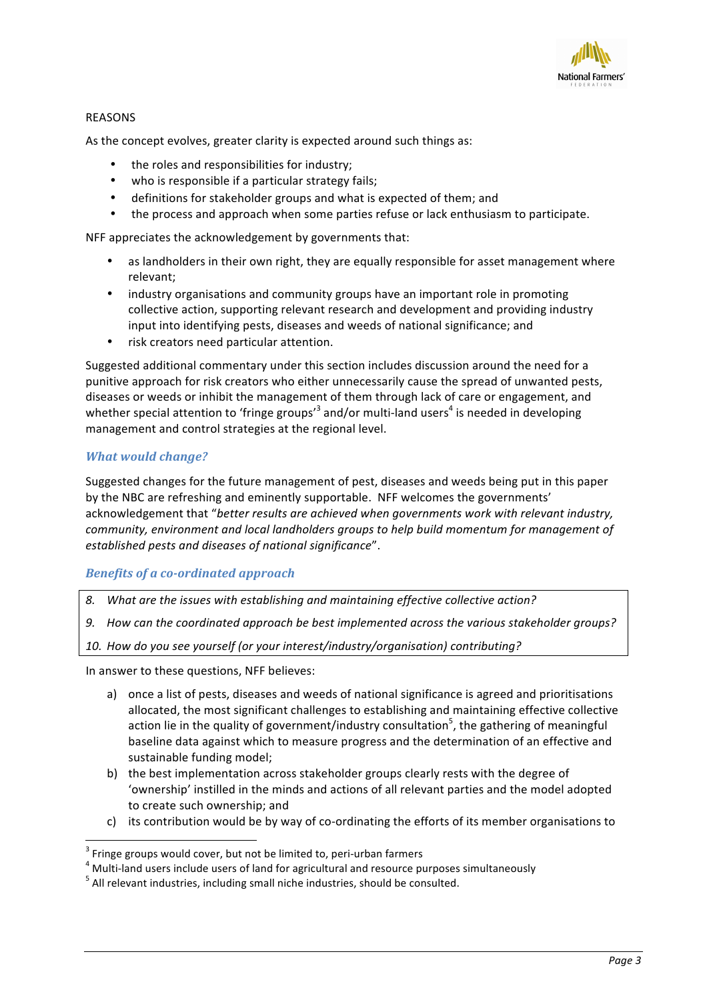

### REASONS

As the concept evolves, greater clarity is expected around such things as:

- the roles and responsibilities for industry:
- who is responsible if a particular strategy fails;
- definitions for stakeholder groups and what is expected of them; and
- the process and approach when some parties refuse or lack enthusiasm to participate.

NFF appreciates the acknowledgement by governments that:

- as landholders in their own right, they are equally responsible for asset management where relevant;
- industry organisations and community groups have an important role in promoting collective action, supporting relevant research and development and providing industry input into identifying pests, diseases and weeds of national significance; and
- risk creators need particular attention.

Suggested additional commentary under this section includes discussion around the need for a punitive approach for risk creators who either unnecessarily cause the spread of unwanted pests, diseases or weeds or inhibit the management of them through lack of care or engagement, and whether special attention to 'fringe groups'<sup>3</sup> and/or multi-land users<sup>4</sup> is needed in developing management and control strategies at the regional level.

#### **What** would change?

Suggested changes for the future management of pest, diseases and weeds being put in this paper by the NBC are refreshing and eminently supportable. NFF welcomes the governments' acknowledgement that "better results are achieved when governments work with relevant industry, *community, environment and local landholders groups to help build momentum for management of established pests and diseases of national significance*".

## **Benefits of a co-ordinated approach**

- 8. What are the issues with establishing and maintaining effective collective action?
- 9. How can the coordinated approach be best implemented across the various stakeholder groups?

10. How do you see yourself (or your interest/industry/organisation) contributing?

In answer to these questions, NFF believes:

<u> 1989 - Jan Samuel Barbara, margaret e</u>

- a) once a list of pests, diseases and weeds of national significance is agreed and prioritisations allocated, the most significant challenges to establishing and maintaining effective collective action lie in the quality of government/industry consultation<sup>5</sup>, the gathering of meaningful baseline data against which to measure progress and the determination of an effective and sustainable funding model;
- b) the best implementation across stakeholder groups clearly rests with the degree of 'ownership' instilled in the minds and actions of all relevant parties and the model adopted to create such ownership; and
- c) its contribution would be by way of co-ordinating the efforts of its member organisations to

 $3$  Fringe groups would cover, but not be limited to, peri-urban farmers<br> $4$  Multi-land users include users of land for agricultural and resource purposes simultaneously<br> $5$  All relevant industries, including small niche